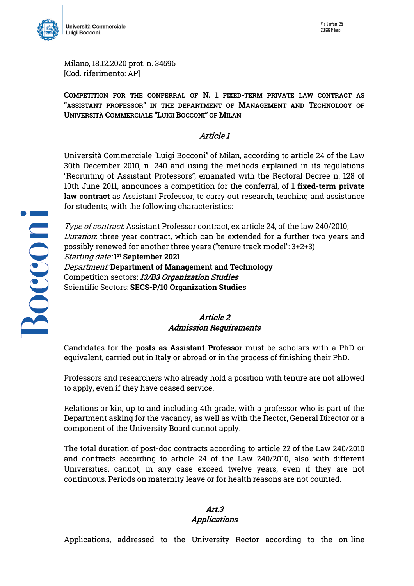

Milano, 18.12.2020 prot. n. 34596 [Cod. riferimento: AP]

**COMPETITION FOR THE CONFERRAL OF N. 1 FIXED-TERM PRIVATE LAW CONTRACT AS "ASSISTANT PROFESSOR" IN THE DEPARTMENT OF MANAGEMENT AND TECHNOLOGY OF UNIVERSITÀ COMMERCIALE "LUIGI BOCCONI" OF MILAN**

## Article 1

Università Commerciale "Luigi Bocconi" of Milan, according to article 24 of the Law 30th December 2010, n. 240 and using the methods explained in its regulations "Recruiting of Assistant Professors", emanated with the Rectoral Decree n. 128 of 10th June 2011, announces a competition for the conferral, of **1 fixed-term private law contract** as Assistant Professor, to carry out research, teaching and assistance for students, with the following characteristics:

Type of contract. Assistant Professor contract, ex article 24, of the law 240/2010; Duration: three year contract, which can be extended for a further two years and possibly renewed for another three years ("tenure track model": 3+2+3) Starting date: **1st September 2021** Department: **Department of Management and Technology** Competition sectors: 13/B3 Organization Studies Scientific Sectors: **SECS-P/10 Organization Studies**

# Article 2 Admission Requirements

Candidates for the **posts as Assistant Professor** must be scholars with a PhD or equivalent, carried out in Italy or abroad or in the process of finishing their PhD.

Professors and researchers who already hold a position with tenure are not allowed to apply, even if they have ceased service.

Relations or kin, up to and including 4th grade, with a professor who is part of the Department asking for the vacancy, as well as with the Rector, General Director or a component of the University Board cannot apply.

The total duration of post-doc contracts according to article 22 of the Law 240/2010 and contracts according to article 24 of the Law 240/2010, also with different Universities, cannot, in any case exceed twelve years, even if they are not continuous. Periods on maternity leave or for health reasons are not counted.

#### Art.3 Applications

Applications, addressed to the University Rector according to the on-line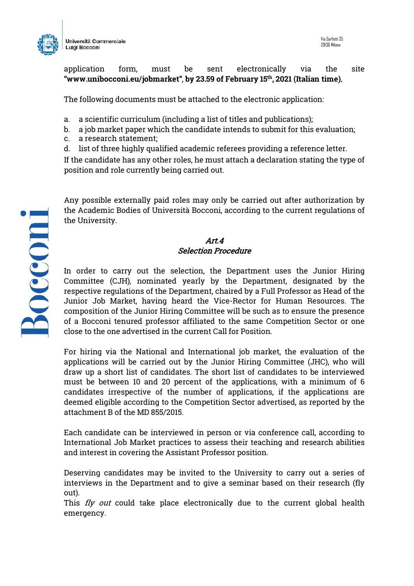



application form, must be sent electronically via the site **"www.unibocconi.eu/jobmarket"**, **by 23.59 of February 15th, 2021 (Italian time)**.

The following documents must be attached to the electronic application:

- a. a scientific curriculum (including a list of titles and publications);
- b. a job market paper which the candidate intends to submit for this evaluation;
- c. a research statement;
- d. list of three highly qualified academic referees providing a reference letter.

If the candidate has any other roles, he must attach a declaration stating the type of position and role currently being carried out.

Any possible externally paid roles may only be carried out after authorization by the Academic Bodies of Università Bocconi, according to the current regulations of the University.

### Art.4 Selection Procedure

In order to carry out the selection, the Department uses the Junior Hiring Committee (CJH), nominated yearly by the Department, designated by the respective regulations of the Department, chaired by a Full Professor as Head of the Junior Job Market, having heard the Vice-Rector for Human Resources. The composition of the Junior Hiring Committee will be such as to ensure the presence of a Bocconi tenured professor affiliated to the same Competition Sector or one close to the one advertised in the current Call for Position.

For hiring via the National and International job market, the evaluation of the applications will be carried out by the Junior Hiring Committee (JHC), who will draw up a short list of candidates. The short list of candidates to be interviewed must be between 10 and 20 percent of the applications, with a minimum of 6 candidates irrespective of the number of applications, if the applications are deemed eligible according to the Competition Sector advertised, as reported by the attachment B of the MD 855/2015.

Each candidate can be interviewed in person or via conference call, according to International Job Market practices to assess their teaching and research abilities and interest in covering the Assistant Professor position.

Deserving candidates may be invited to the University to carry out a series of interviews in the Department and to give a seminar based on their research (fly out).

This  $fly$  out could take place electronically due to the current global health emergency.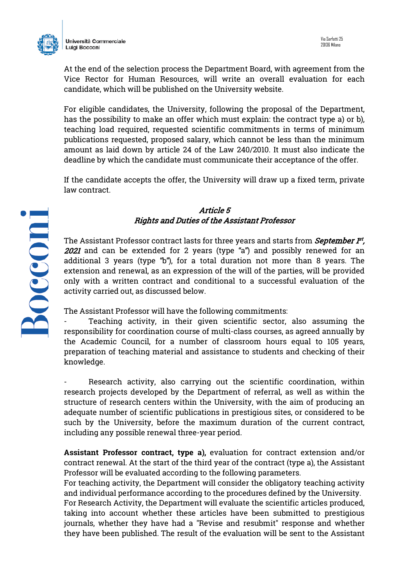

At the end of the selection process the Department Board, with agreement from the Vice Rector for Human Resources, will write an overall evaluation for each candidate, which will be published on the University website.

For eligible candidates, the University, following the proposal of the Department, has the possibility to make an offer which must explain: the contract type a) or b), teaching load required, requested scientific commitments in terms of minimum publications requested, proposed salary, which cannot be less than the minimum amount as laid down by article 24 of the Law 240/2010. It must also indicate the deadline by which the candidate must communicate their acceptance of the offer.

If the candidate accepts the offer, the University will draw up a fixed term, private law contract.

### Article 5 Rights and Duties of the Assistant Professor

The Assistant Professor contract lasts for three years and starts from *September 1*st, 2021 and can be extended for 2 years (type "a") and possibly renewed for an additional 3 years (type "b"), for a total duration not more than 8 years. The extension and renewal, as an expression of the will of the parties, will be provided only with a written contract and conditional to a successful evaluation of the activity carried out, as discussed below.

The Assistant Professor will have the following commitments:

Teaching activity, in their given scientific sector, also assuming the responsibility for coordination course of multi-class courses, as agreed annually by the Academic Council, for a number of classroom hours equal to 105 years, preparation of teaching material and assistance to students and checking of their knowledge.

Research activity, also carrying out the scientific coordination, within research projects developed by the Department of referral, as well as within the structure of research centers within the University, with the aim of producing an adequate number of scientific publications in prestigious sites, or considered to be such by the University, before the maximum duration of the current contract, including any possible renewal three-year period.

**Assistant Professor contract, type a),** evaluation for contract extension and/or contract renewal. At the start of the third year of the contract (type a), the Assistant Professor will be evaluated according to the following parameters.

For teaching activity, the Department will consider the obligatory teaching activity and individual performance according to the procedures defined by the University.

For Research Activity, the Department will evaluate the scientific articles produced, taking into account whether these articles have been submitted to prestigious journals, whether they have had a "Revise and resubmit" response and whether they have been published. The result of the evaluation will be sent to the Assistant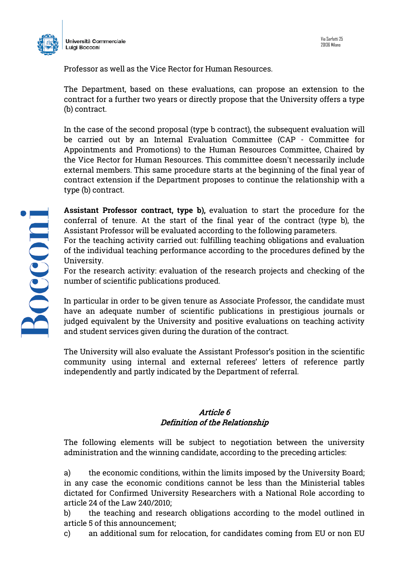

Professor as well as the Vice Rector for Human Resources.

The Department, based on these evaluations, can propose an extension to the contract for a further two years or directly propose that the University offers a type (b) contract.

In the case of the second proposal (type b contract), the subsequent evaluation will be carried out by an Internal Evaluation Committee (CAP - Committee for Appointments and Promotions) to the Human Resources Committee, Chaired by the Vice Rector for Human Resources. This committee doesn't necessarily include external members. This same procedure starts at the beginning of the final year of contract extension if the Department proposes to continue the relationship with a type (b) contract.

**Assistant Professor contract, type b),** evaluation to start the procedure for the conferral of tenure. At the start of the final year of the contract (type b), the Assistant Professor will be evaluated according to the following parameters.

For the teaching activity carried out: fulfilling teaching obligations and evaluation of the individual teaching performance according to the procedures defined by the University.

For the research activity: evaluation of the research projects and checking of the number of scientific publications produced.

In particular in order to be given tenure as Associate Professor, the candidate must have an adequate number of scientific publications in prestigious journals or judged equivalent by the University and positive evaluations on teaching activity and student services given during the duration of the contract.

The University will also evaluate the Assistant Professor's position in the scientific community using internal and external referees' letters of reference partly independently and partly indicated by the Department of referral.

### Article 6 Definition of the Relationship

The following elements will be subject to negotiation between the university administration and the winning candidate, according to the preceding articles:

a) the economic conditions, within the limits imposed by the University Board; in any case the economic conditions cannot be less than the Ministerial tables dictated for Confirmed University Researchers with a National Role according to article 24 of the Law 240/2010;

b) the teaching and research obligations according to the model outlined in article 5 of this announcement;

c) an additional sum for relocation, for candidates coming from EU or non EU